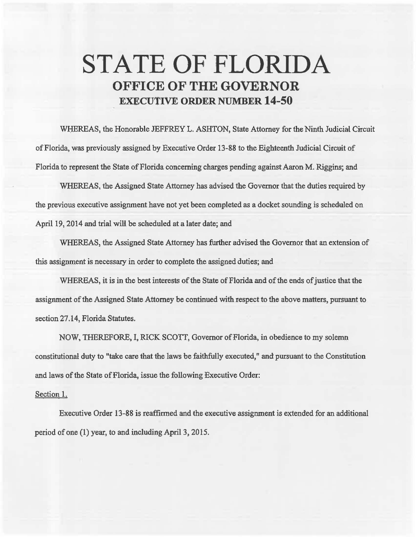## **STATE OF FLORIDA OFFICE OF THE GOVERNOR EXECUTIVE ORDER NUMBER 14-50**

WHEREAS, the Honorable JEFFREY L. ASHTON, State Attorney for the Ninth Judicial Circuit of Florida, was previously assigned by Executive Order 13-88 to the Eighteenth Judicial Circuit of Florida to represent the State of Florida concerning charges pending against Aaron M. Riggins; and

WHEREAS, the Assigned State Attorney has advised the Governor that the duties required by the previous executive assignment have not yet been completed as a docket sounding is scheduled on April 19, 2014 and trial will be scheduled at a later date; and

WHEREAS, the Assigned State Attorney has further advised the Governor that an extension of this assignment is necessary in order to complete the assigned duties; and

WHEREAS, it is in the best interests of the State of Florida and of the ends of justice that the assignment of the Assigned State Attorney be continued with respect to the above matters, pursuant to section 27.14, Florida Statutes.

NOW, THEREFORE, I, RICK SCOTT, Governor of Florida, in obedience to my solemn constitutional duty to "take care that the laws be faithfully executed," and pursuant to the Constitution and laws of the State of Florida, issue the following Executive Order:

## Section 1.

Executive Order 13-88 is reaffinned and the executive assignment is extended for an additional period of one (1) year, to and including April 3, 2015.